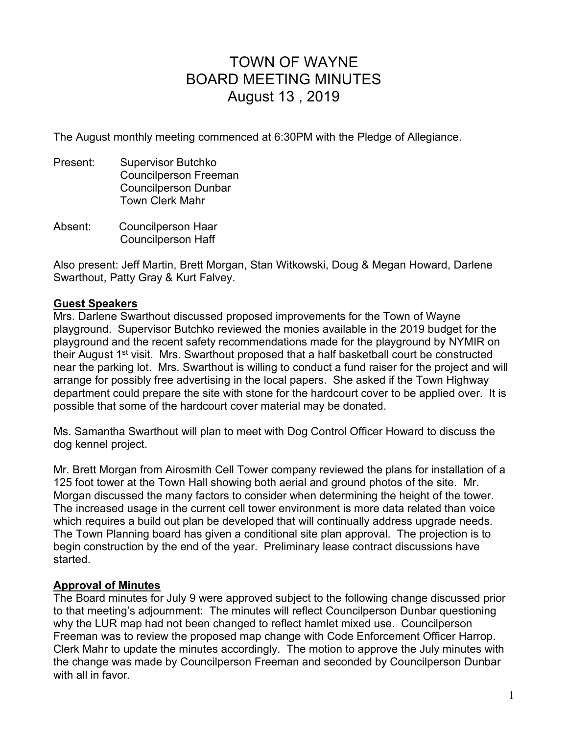# TOWN OF WAYNE BOARD MEETING MINUTES August 13 , 2019

The August monthly meeting commenced at 6:30PM with the Pledge of Allegiance.

- Present: Supervisor Butchko Councilperson Freeman Councilperson Dunbar Town Clerk Mahr
- Absent: Councilperson Haar Councilperson Haff

Also present: Jeff Martin, Brett Morgan, Stan Witkowski, Doug & Megan Howard, Darlene Swarthout, Patty Gray & Kurt Falvey.

## **Guest Speakers**

Mrs. Darlene Swarthout discussed proposed improvements for the Town of Wayne playground. Supervisor Butchko reviewed the monies available in the 2019 budget for the playground and the recent safety recommendations made for the playground by NYMIR on their August 1<sup>st</sup> visit. Mrs. Swarthout proposed that a half basketball court be constructed near the parking lot. Mrs. Swarthout is willing to conduct a fund raiser for the project and will arrange for possibly free advertising in the local papers. She asked if the Town Highway department could prepare the site with stone for the hardcourt cover to be applied over. It is possible that some of the hardcourt cover material may be donated.

Ms. Samantha Swarthout will plan to meet with Dog Control Officer Howard to discuss the dog kennel project.

Mr. Brett Morgan from Airosmith Cell Tower company reviewed the plans for installation of a 125 foot tower at the Town Hall showing both aerial and ground photos of the site. Mr. Morgan discussed the many factors to consider when determining the height of the tower. The increased usage in the current cell tower environment is more data related than voice which requires a build out plan be developed that will continually address upgrade needs. The Town Planning board has given a conditional site plan approval. The projection is to begin construction by the end of the year. Preliminary lease contract discussions have started.

## **Approval of Minutes**

The Board minutes for July 9 were approved subject to the following change discussed prior to that meeting's adjournment: The minutes will reflect Councilperson Dunbar questioning why the LUR map had not been changed to reflect hamlet mixed use. Councilperson Freeman was to review the proposed map change with Code Enforcement Officer Harrop. Clerk Mahr to update the minutes accordingly. The motion to approve the July minutes with the change was made by Councilperson Freeman and seconded by Councilperson Dunbar with all in favor.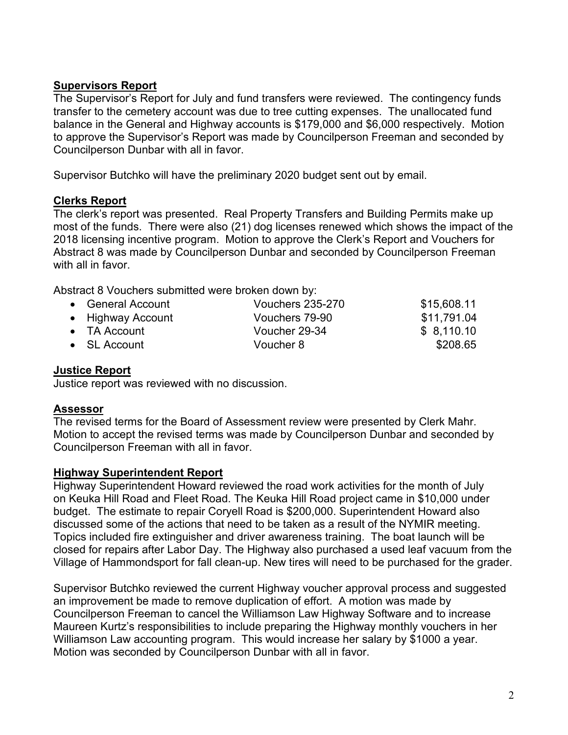# **Supervisors Report**

The Supervisor's Report for July and fund transfers were reviewed. The contingency funds transfer to the cemetery account was due to tree cutting expenses. The unallocated fund balance in the General and Highway accounts is \$179,000 and \$6,000 respectively. Motion to approve the Supervisor's Report was made by Councilperson Freeman and seconded by Councilperson Dunbar with all in favor.

Supervisor Butchko will have the preliminary 2020 budget sent out by email.

## **Clerks Report**

The clerk's report was presented. Real Property Transfers and Building Permits make up most of the funds. There were also (21) dog licenses renewed which shows the impact of the 2018 licensing incentive program. Motion to approve the Clerk's Report and Vouchers for Abstract 8 was made by Councilperson Dunbar and seconded by Councilperson Freeman with all in favor.

Abstract 8 Vouchers submitted were broken down by:

| • General Account    | <b>Vouchers 235-270</b> | \$15,608.11 |
|----------------------|-------------------------|-------------|
| • Highway Account    | Vouchers 79-90          | \$11,791.04 |
| $\bullet$ TA Account | Voucher 29-34           | \$8,110.10  |
| $\bullet$ SL Account | Voucher 8               | \$208.65    |

## **Justice Report**

Justice report was reviewed with no discussion.

## **Assessor**

The revised terms for the Board of Assessment review were presented by Clerk Mahr. Motion to accept the revised terms was made by Councilperson Dunbar and seconded by Councilperson Freeman with all in favor.

## **Highway Superintendent Report**

Highway Superintendent Howard reviewed the road work activities for the month of July on Keuka Hill Road and Fleet Road. The Keuka Hill Road project came in \$10,000 under budget. The estimate to repair Coryell Road is \$200,000. Superintendent Howard also discussed some of the actions that need to be taken as a result of the NYMIR meeting. Topics included fire extinguisher and driver awareness training. The boat launch will be closed for repairs after Labor Day. The Highway also purchased a used leaf vacuum from the Village of Hammondsport for fall clean-up. New tires will need to be purchased for the grader.

Supervisor Butchko reviewed the current Highway voucher approval process and suggested an improvement be made to remove duplication of effort. A motion was made by Councilperson Freeman to cancel the Williamson Law Highway Software and to increase Maureen Kurtz's responsibilities to include preparing the Highway monthly vouchers in her Williamson Law accounting program. This would increase her salary by \$1000 a year. Motion was seconded by Councilperson Dunbar with all in favor.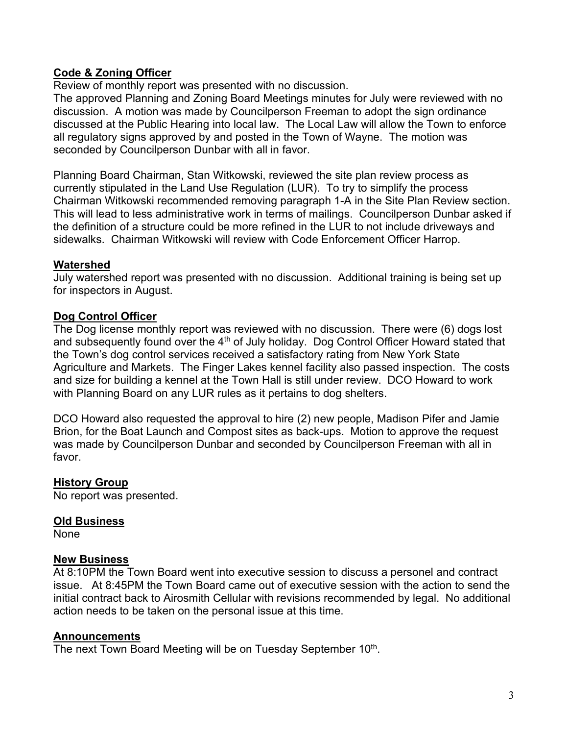# **Code & Zoning Officer**

Review of monthly report was presented with no discussion.

The approved Planning and Zoning Board Meetings minutes for July were reviewed with no discussion. A motion was made by Councilperson Freeman to adopt the sign ordinance discussed at the Public Hearing into local law. The Local Law will allow the Town to enforce all regulatory signs approved by and posted in the Town of Wayne. The motion was seconded by Councilperson Dunbar with all in favor.

Planning Board Chairman, Stan Witkowski, reviewed the site plan review process as currently stipulated in the Land Use Regulation (LUR). To try to simplify the process Chairman Witkowski recommended removing paragraph 1-A in the Site Plan Review section. This will lead to less administrative work in terms of mailings. Councilperson Dunbar asked if the definition of a structure could be more refined in the LUR to not include driveways and sidewalks. Chairman Witkowski will review with Code Enforcement Officer Harrop.

## **Watershed**

July watershed report was presented with no discussion. Additional training is being set up for inspectors in August.

## **Dog Control Officer**

The Dog license monthly report was reviewed with no discussion. There were (6) dogs lost and subsequently found over the  $4<sup>th</sup>$  of July holiday. Dog Control Officer Howard stated that the Town's dog control services received a satisfactory rating from New York State Agriculture and Markets. The Finger Lakes kennel facility also passed inspection. The costs and size for building a kennel at the Town Hall is still under review. DCO Howard to work with Planning Board on any LUR rules as it pertains to dog shelters.

DCO Howard also requested the approval to hire (2) new people, Madison Pifer and Jamie Brion, for the Boat Launch and Compost sites as back-ups. Motion to approve the request was made by Councilperson Dunbar and seconded by Councilperson Freeman with all in favor.

## **History Group**

No report was presented.

## **Old Business**

None

## **New Business**

At 8:10PM the Town Board went into executive session to discuss a personel and contract issue. At 8:45PM the Town Board came out of executive session with the action to send the initial contract back to Airosmith Cellular with revisions recommended by legal. No additional action needs to be taken on the personal issue at this time.

## **Announcements**

The next Town Board Meeting will be on Tuesday September 10<sup>th</sup>.